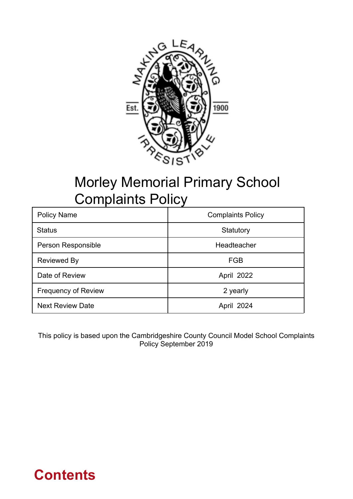

## Morley Memorial Primary School Complaints Policy

| <b>Policy Name</b>         | <b>Complaints Policy</b> |
|----------------------------|--------------------------|
| <b>Status</b>              | Statutory                |
| Person Responsible         | Headteacher              |
| <b>Reviewed By</b>         | FGB                      |
| Date of Review             | April 2022               |
| <b>Frequency of Review</b> | 2 yearly                 |
| <b>Next Review Date</b>    | April 2024               |

This policy is based upon the Cambridgeshire County Council Model School Complaints Policy September 2019

## **Contents**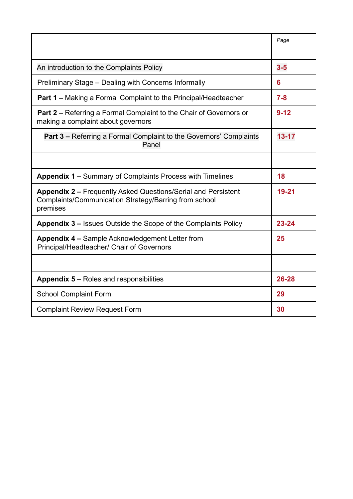|                                                                                                                                           | Page      |
|-------------------------------------------------------------------------------------------------------------------------------------------|-----------|
|                                                                                                                                           |           |
| An introduction to the Complaints Policy                                                                                                  | $3-5$     |
| Preliminary Stage - Dealing with Concerns Informally                                                                                      | 6         |
| <b>Part 1 – Making a Formal Complaint to the Principal/Headteacher</b>                                                                    | $7 - 8$   |
| <b>Part 2 – Referring a Formal Complaint to the Chair of Governors or</b><br>making a complaint about governors                           | $9 - 12$  |
| <b>Part 3 – Referring a Formal Complaint to the Governors' Complaints</b><br>Panel                                                        | $13 - 17$ |
|                                                                                                                                           |           |
| <b>Appendix 1 – Summary of Complaints Process with Timelines</b>                                                                          | 18        |
| <b>Appendix 2 – Frequently Asked Questions/Serial and Persistent</b><br>Complaints/Communication Strategy/Barring from school<br>premises | 19-21     |
| <b>Appendix 3 – Issues Outside the Scope of the Complaints Policy</b>                                                                     | 23-24     |
| Appendix 4 - Sample Acknowledgement Letter from<br>Principal/Headteacher/ Chair of Governors                                              | 25        |
|                                                                                                                                           |           |
| <b>Appendix 5 – Roles and responsibilities</b>                                                                                            | 26-28     |
| <b>School Complaint Form</b>                                                                                                              | 29        |
| <b>Complaint Review Request Form</b>                                                                                                      | 30        |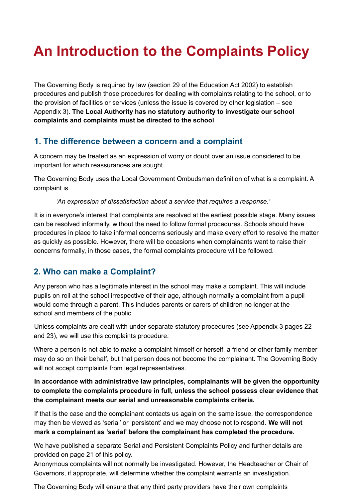## **An Introduction to the Complaints Policy**

The Governing Body is required by law (section 29 of the Education Act 2002) to establish procedures and publish those procedures for dealing with complaints relating to the school, or to the provision of facilities or services (unless the issue is covered by other legislation – see Appendix 3). **The Local Authority has no statutory authority to investigate our school complaints and complaints must be directed to the school**

### **1. The difference between a concern and a complaint**

A concern may be treated as an expression of worry or doubt over an issue considered to be important for which reassurances are sought.

The Governing Body uses the Local Government Ombudsman definition of what is a complaint. A complaint is

*'An expression of dissatisfaction about a service that requires a response.'*

It is in everyone's interest that complaints are resolved at the earliest possible stage. Many issues can be resolved informally, without the need to follow formal procedures. Schools should have procedures in place to take informal concerns seriously and make every effort to resolve the matter as quickly as possible. However, there will be occasions when complainants want to raise their concerns formally, in those cases, the formal complaints procedure will be followed.

## **2. Who can make a Complaint?**

Any person who has a legitimate interest in the school may make a complaint. This will include pupils on roll at the school irrespective of their age, although normally a complaint from a pupil would come through a parent. This includes parents or carers of children no longer at the school and members of the public.

Unless complaints are dealt with under separate statutory procedures (see Appendix 3 pages 22 and 23), we will use this complaints procedure.

Where a person is not able to make a complaint himself or herself, a friend or other family member may do so on their behalf, but that person does not become the complainant. The Governing Body will not accept complaints from legal representatives.

#### **In accordance with administrative law principles, complainants will be given the opportunity to complete the complaints procedure in full, unless the school possess clear evidence that the complainant meets our serial and unreasonable complaints criteria.**

If that is the case and the complainant contacts us again on the same issue, the correspondence may then be viewed as 'serial' or 'persistent' and we may choose not to respond. **We will not mark a complainant as 'serial' before the complainant has completed the procedure.**

We have published a separate Serial and Persistent Complaints Policy and further details are provided on page 21 of this policy.

Anonymous complaints will not normally be investigated. However, the Headteacher or Chair of Governors, if appropriate, will determine whether the complaint warrants an investigation.

The Governing Body will ensure that any third party providers have their own complaints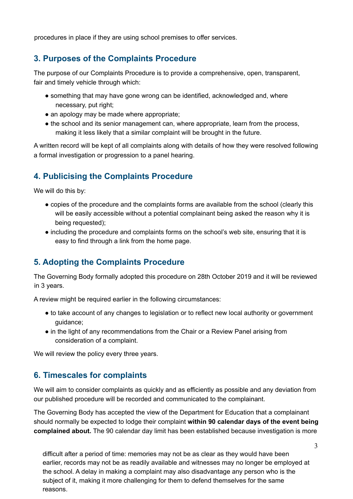procedures in place if they are using school premises to offer services.

### **3. Purposes of the Complaints Procedure**

The purpose of our Complaints Procedure is to provide a comprehensive, open, transparent, fair and timely vehicle through which:

- something that may have gone wrong can be identified, acknowledged and, where necessary, put right;
- an apology may be made where appropriate;
- the school and its senior management can, where appropriate, learn from the process, making it less likely that a similar complaint will be brought in the future.

A written record will be kept of all complaints along with details of how they were resolved following a formal investigation or progression to a panel hearing.

## **4. Publicising the Complaints Procedure**

We will do this by:

- copies of the procedure and the complaints forms are available from the school (clearly this will be easily accessible without a potential complainant being asked the reason why it is being requested);
- including the procedure and complaints forms on the school's web site, ensuring that it is easy to find through a link from the home page.

## **5. Adopting the Complaints Procedure**

The Governing Body formally adopted this procedure on 28th October 2019 and it will be reviewed in 3 years.

A review might be required earlier in the following circumstances:

- to take account of any changes to legislation or to reflect new local authority or government guidance;
- in the light of any recommendations from the Chair or a Review Panel arising from consideration of a complaint.

We will review the policy every three years.

### **6. Timescales for complaints**

We will aim to consider complaints as quickly and as efficiently as possible and any deviation from our published procedure will be recorded and communicated to the complainant.

The Governing Body has accepted the view of the Department for Education that a complainant should normally be expected to lodge their complaint **within 90 calendar days of the event being complained about.** The 90 calendar day limit has been established because investigation is more

difficult after a period of time: memories may not be as clear as they would have been earlier, records may not be as readily available and witnesses may no longer be employed at the school. A delay in making a complaint may also disadvantage any person who is the subject of it, making it more challenging for them to defend themselves for the same reasons.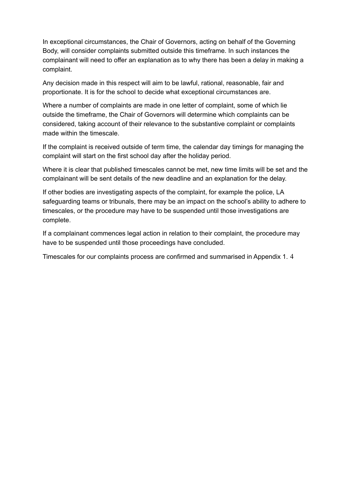In exceptional circumstances, the Chair of Governors, acting on behalf of the Governing Body, will consider complaints submitted outside this timeframe. In such instances the complainant will need to offer an explanation as to why there has been a delay in making a complaint.

Any decision made in this respect will aim to be lawful, rational, reasonable, fair and proportionate. It is for the school to decide what exceptional circumstances are.

Where a number of complaints are made in one letter of complaint, some of which lie outside the timeframe, the Chair of Governors will determine which complaints can be considered, taking account of their relevance to the substantive complaint or complaints made within the timescale.

If the complaint is received outside of term time, the calendar day timings for managing the complaint will start on the first school day after the holiday period.

Where it is clear that published timescales cannot be met, new time limits will be set and the complainant will be sent details of the new deadline and an explanation for the delay.

If other bodies are investigating aspects of the complaint, for example the police, LA safeguarding teams or tribunals, there may be an impact on the school's ability to adhere to timescales, or the procedure may have to be suspended until those investigations are complete.

If a complainant commences legal action in relation to their complaint, the procedure may have to be suspended until those proceedings have concluded.

Timescales for our complaints process are confirmed and summarised in Appendix 1. 4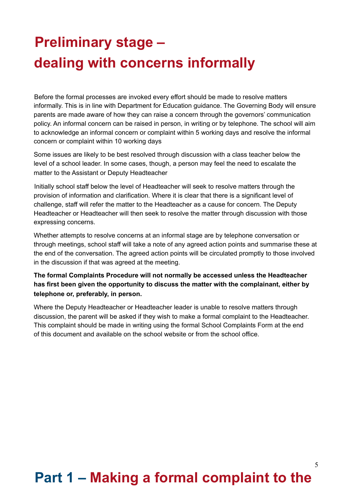## **Preliminary stage – dealing with concerns informally**

Before the formal processes are invoked every effort should be made to resolve matters informally. This is in line with Department for Education guidance. The Governing Body will ensure parents are made aware of how they can raise a concern through the governors' communication policy. An informal concern can be raised in person, in writing or by telephone. The school will aim to acknowledge an informal concern or complaint within 5 working days and resolve the informal concern or complaint within 10 working days

Some issues are likely to be best resolved through discussion with a class teacher below the level of a school leader. In some cases, though, a person may feel the need to escalate the matter to the Assistant or Deputy Headteacher

Initially school staff below the level of Headteacher will seek to resolve matters through the provision of information and clarification. Where it is clear that there is a significant level of challenge, staff will refer the matter to the Headteacher as a cause for concern. The Deputy Headteacher or Headteacher will then seek to resolve the matter through discussion with those expressing concerns.

Whether attempts to resolve concerns at an informal stage are by telephone conversation or through meetings, school staff will take a note of any agreed action points and summarise these at the end of the conversation. The agreed action points will be circulated promptly to those involved in the discussion if that was agreed at the meeting.

**The formal Complaints Procedure will not normally be accessed unless the Headteacher has first been given the opportunity to discuss the matter with the complainant, either by telephone or, preferably, in person.**

Where the Deputy Headteacher or Headteacher leader is unable to resolve matters through discussion, the parent will be asked if they wish to make a formal complaint to the Headteacher. This complaint should be made in writing using the formal School Complaints Form at the end of this document and available on the school website or from the school office.

## **Part 1 – Making a formal complaint to the**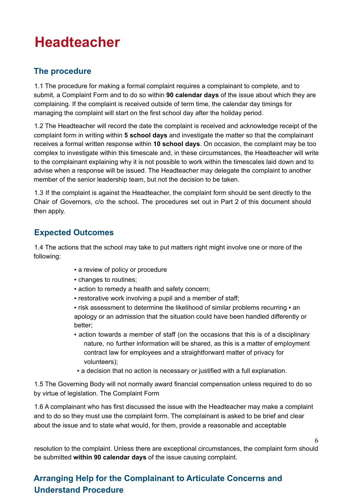## **Headteacher**

## **The procedure**

1.1 The procedure for making a formal complaint requires a complainant to complete, and to submit, a Complaint Form and to do so within **90 calendar days** of the issue about which they are complaining. If the complaint is received outside of term time, the calendar day timings for managing the complaint will start on the first school day after the holiday period.

1.2 The Headteacher will record the date the complaint is received and acknowledge receipt of the complaint form in writing within **5 school days** and investigate the matter so that the complainant receives a formal written response within **10 school days**. On occasion, the complaint may be too complex to investigate within this timescale and, in these circumstances, the Headteacher will write to the complainant explaining why it is not possible to work within the timescales laid down and to advise when a response will be issued. The Headteacher may delegate the complaint to another member of the senior leadership team, but not the decision to be taken.

1.3 If the complaint is against the Headteacher, the complaint form should be sent directly to the Chair of Governors, c/o the school**.** The procedures set out in Part 2 of this document should then apply.

## **Expected Outcomes**

1.4 The actions that the school may take to put matters right might involve one or more of the following:

- **a** review of policy or procedure
- changes to routines;
- **Exercion to remedy a health and safety concern;**
- restorative work involving a pupil and a member of staff;

■ risk assessment to determine the likelihood of similar problems recurring ■ an apology or an admission that the situation could have been handled differently or better;

▪ action towards a member of staff (on the occasions that this is of a disciplinary nature, no further information will be shared, as this is a matter of employment contract law for employees and a straightforward matter of privacy for volunteers);

6

▪ a decision that no action is necessary or justified with a full explanation.

1.5 The Governing Body will not normally award financial compensation unless required to do so by virtue of legislation. The Complaint Form

1.6 A complainant who has first discussed the issue with the Headteacher may make a complaint and to do so they must use the complaint form. The complainant is asked to be brief and clear about the issue and to state what would, for them, provide a reasonable and acceptable

resolution to the complaint. Unless there are exceptional circumstances, the complaint form should be submitted **within 90 calendar days** of the issue causing complaint.

## **Arranging Help for the Complainant to Articulate Concerns and Understand Procedure**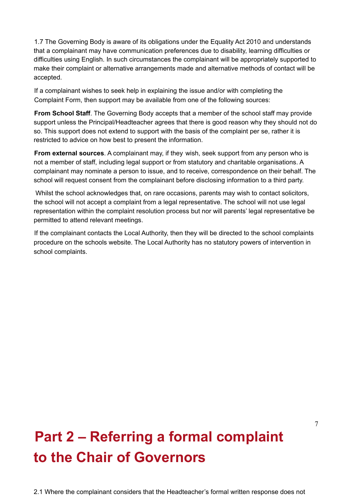1.7 The Governing Body is aware of its obligations under the Equality Act 2010 and understands that a complainant may have communication preferences due to disability, learning difficulties or difficulties using English. In such circumstances the complainant will be appropriately supported to make their complaint or alternative arrangements made and alternative methods of contact will be accepted.

If a complainant wishes to seek help in explaining the issue and/or with completing the Complaint Form, then support may be available from one of the following sources:

**From School Staff**. The Governing Body accepts that a member of the school staff may provide support unless the Principal/Headteacher agrees that there is good reason why they should not do so. This support does not extend to support with the basis of the complaint per se, rather it is restricted to advice on how best to present the information.

**From external sources**. A complainant may, if they wish, seek support from any person who is not a member of staff, including legal support or from statutory and charitable organisations. A complainant may nominate a person to issue, and to receive, correspondence on their behalf. The school will request consent from the complainant before disclosing information to a third party.

Whilst the school acknowledges that, on rare occasions, parents may wish to contact solicitors, the school will not accept a complaint from a legal representative. The school will not use legal representation within the complaint resolution process but nor will parents' legal representative be permitted to attend relevant meetings.

If the complainant contacts the Local Authority, then they will be directed to the school complaints procedure on the schools website. The Local Authority has no statutory powers of intervention in school complaints.

# **Part 2 – Referring a formal complaint to the Chair of Governors**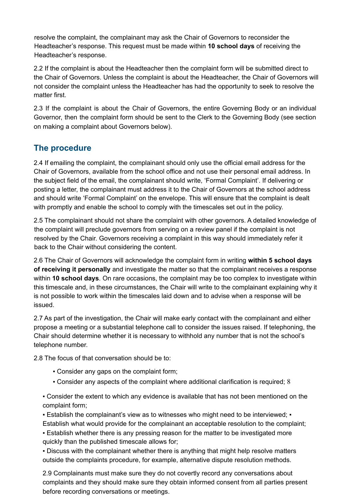resolve the complaint, the complainant may ask the Chair of Governors to reconsider the Headteacher's response. This request must be made within **10 school days** of receiving the Headteacher's response.

2.2 If the complaint is about the Headteacher then the complaint form will be submitted direct to the Chair of Governors. Unless the complaint is about the Headteacher, the Chair of Governors will not consider the complaint unless the Headteacher has had the opportunity to seek to resolve the matter first.

2.3 If the complaint is about the Chair of Governors, the entire Governing Body or an individual Governor, then the complaint form should be sent to the Clerk to the Governing Body (see section on making a complaint about Governors below).

## **The procedure**

2.4 If emailing the complaint, the complainant should only use the official email address for the Chair of Governors, available from the school office and not use their personal email address. In the subject field of the email, the complainant should write, 'Formal Complaint'. If delivering or posting a letter, the complainant must address it to the Chair of Governors at the school address and should write 'Formal Complaint' on the envelope. This will ensure that the complaint is dealt with promptly and enable the school to comply with the timescales set out in the policy.

2.5 The complainant should not share the complaint with other governors. A detailed knowledge of the complaint will preclude governors from serving on a review panel if the complaint is not resolved by the Chair. Governors receiving a complaint in this way should immediately refer it back to the Chair without considering the content.

2.6 The Chair of Governors will acknowledge the complaint form in writing **within 5 school days of receiving it personally** and investigate the matter so that the complainant receives a response within **10 school days**. On rare occasions, the complaint may be too complex to investigate within this timescale and, in these circumstances, the Chair will write to the complainant explaining why it is not possible to work within the timescales laid down and to advise when a response will be issued.

2.7 As part of the investigation, the Chair will make early contact with the complainant and either propose a meeting or a substantial telephone call to consider the issues raised. If telephoning, the Chair should determine whether it is necessary to withhold any number that is not the school's telephone number.

2.8 The focus of that conversation should be to:

- Consider any gaps on the complaint form;
- Consider any aspects of the complaint where additional clarification is required; 8

▪ Consider the extent to which any evidence is available that has not been mentioned on the complaint form;

**Establish the complainant's view as to witnesses who might need to be interviewed;** Establish what would provide for the complainant an acceptable resolution to the complaint;

**E** Establish whether there is any pressing reason for the matter to be investigated more quickly than the published timescale allows for;

▪ Discuss with the complainant whether there is anything that might help resolve matters outside the complaints procedure, for example, alternative dispute resolution methods.

2.9 Complainants must make sure they do not covertly record any conversations about complaints and they should make sure they obtain informed consent from all parties present before recording conversations or meetings.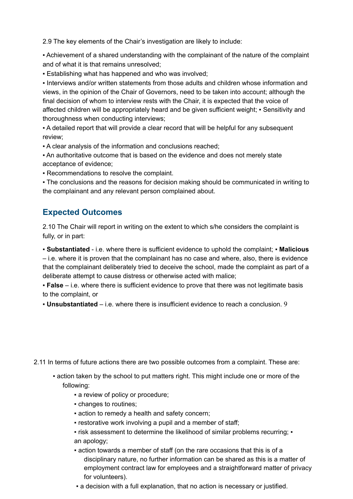2.9 The key elements of the Chair's investigation are likely to include:

▪ Achievement of a shared understanding with the complainant of the nature of the complaint and of what it is that remains unresolved;

▪ Establishing what has happened and who was involved;

▪ Interviews and/or written statements from those adults and children whose information and views, in the opinion of the Chair of Governors, need to be taken into account; although the final decision of whom to interview rests with the Chair, it is expected that the voice of affected children will be appropriately heard and be given sufficient weight; ▪ Sensitivity and thoroughness when conducting interviews;

▪ A detailed report that will provide a clear record that will be helpful for any subsequent review;

▪ A clear analysis of the information and conclusions reached;

▪ An authoritative outcome that is based on the evidence and does not merely state acceptance of evidence;

▪ Recommendations to resolve the complaint.

▪ The conclusions and the reasons for decision making should be communicated in writing to the complainant and any relevant person complained about.

### **Expected Outcomes**

2.10 The Chair will report in writing on the extent to which s/he considers the complaint is fully, or in part:

▪ **Substantiated** - i.e. where there is sufficient evidence to uphold the complaint; ▪ **Malicious** – i.e. where it is proven that the complainant has no case and where, also, there is evidence that the complainant deliberately tried to deceive the school, made the complaint as part of a deliberate attempt to cause distress or otherwise acted with malice;

▪ **False** – i.e. where there is sufficient evidence to prove that there was not legitimate basis to the complaint, or

▪ **Unsubstantiated** – i.e. where there is insufficient evidence to reach a conclusion. 9

2.11 In terms of future actions there are two possible outcomes from a complaint. These are:

- action taken by the school to put matters right. This might include one or more of the following:
	- **a** review of policy or procedure;
	- changes to routines;
	- **Exercise 1** action to remedy a health and safety concern;
	- restorative work involving a pupil and a member of staff;
	- risk assessment to determine the likelihood of similar problems recurring: an apology;
	- action towards a member of staff (on the rare occasions that this is of a disciplinary nature, no further information can be shared as this is a matter of employment contract law for employees and a straightforward matter of privacy for volunteers).
	- a decision with a full explanation, that no action is necessary or justified.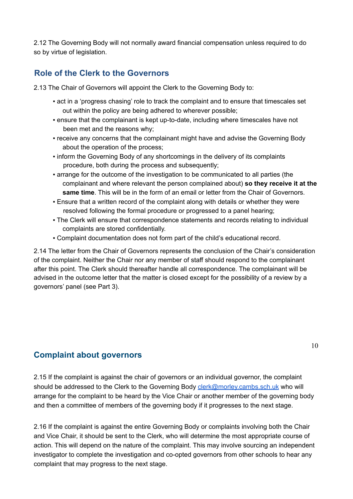2.12 The Governing Body will not normally award financial compensation unless required to do so by virtue of legislation.

### **Role of the Clerk to the Governors**

2.13 The Chair of Governors will appoint the Clerk to the Governing Body to:

- act in a 'progress chasing' role to track the complaint and to ensure that timescales set out within the policy are being adhered to wherever possible;
- ensure that the complainant is kept up-to-date, including where timescales have not been met and the reasons why;
- receive any concerns that the complainant might have and advise the Governing Body about the operation of the process;
- inform the Governing Body of any shortcomings in the delivery of its complaints procedure, both during the process and subsequently;
- arrange for the outcome of the investigation to be communicated to all parties (the complainant and where relevant the person complained about) **so they receive it at the same time**. This will be in the form of an email or letter from the Chair of Governors.
- **Ensure that a written record of the complaint along with details or whether they were** resolved following the formal procedure or progressed to a panel hearing;
- The Clerk will ensure that correspondence statements and records relating to individual complaints are stored confidentially.
- Complaint documentation does not form part of the child's educational record.

2.14 The letter from the Chair of Governors represents the conclusion of the Chair's consideration of the complaint. Neither the Chair nor any member of staff should respond to the complainant after this point. The Clerk should thereafter handle all correspondence. The complainant will be advised in the outcome letter that the matter is closed except for the possibility of a review by a governors' panel (see Part 3).

#### **Complaint about governors**

2.15 If the complaint is against the chair of governors or an individual governor, the complaint should be addressed to the Clerk to the Governing Body clerk@morley.cambs.sch.uk who will arrange for the complaint to be heard by the Vice Chair or another member of the governing body and then a committee of members of the governing body if it progresses to the next stage.

2.16 If the complaint is against the entire Governing Body or complaints involving both the Chair and Vice Chair, it should be sent to the Clerk, who will determine the most appropriate course of action. This will depend on the nature of the complaint. This may involve sourcing an independent investigator to complete the investigation and co-opted governors from other schools to hear any complaint that may progress to the next stage.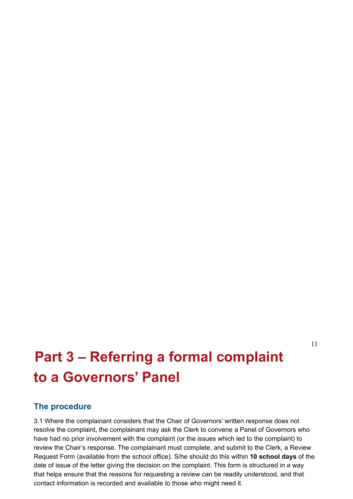#### 11

## **Part 3 – Referring a formal complaint to a Governors' Panel**

#### **The procedure**

3.1 Where the complainant considers that the Chair of Governors' written response does not resolve the complaint, the complainant may ask the Clerk to convene a Panel of Governors who have had no prior involvement with the complaint (or the issues which led to the complaint) to review the Chair's response. The complainant must complete, and submit to the Clerk, a Review Request Form (available from the school office). S/he should do this within **10 school days** of the date of issue of the letter giving the decision on the complaint. This form is structured in a way that helps ensure that the reasons for requesting a review can be readily understood, and that contact information is recorded and available to those who might need it.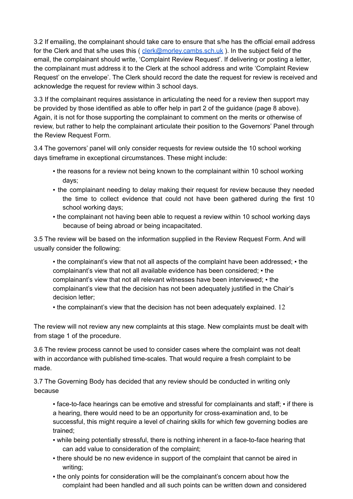3.2 If emailing, the complainant should take care to ensure that s/he has the official email address for the Clerk and that s/he uses this ( $\frac{clerk@morley.cambs.sch.uk}{calmorley.cambs.sch.uk}$ ). In the subject field of the email, the complainant should write, 'Complaint Review Request'. If delivering or posting a letter, the complainant must address it to the Clerk at the school address and write 'Complaint Review Request' on the envelope'. The Clerk should record the date the request for review is received and acknowledge the request for review within 3 school days.

3.3 If the complainant requires assistance in articulating the need for a review then support may be provided by those identified as able to offer help in part 2 of the guidance (page 8 above). Again, it is not for those supporting the complainant to comment on the merits or otherwise of review, but rather to help the complainant articulate their position to the Governors' Panel through the Review Request Form.

3.4 The governors' panel will only consider requests for review outside the 10 school working days timeframe in exceptional circumstances. These might include:

- . the reasons for a review not being known to the complainant within 10 school working days;
- . the complainant needing to delay making their request for review because they needed the time to collect evidence that could not have been gathered during the first 10 school working days;
- the complainant not having been able to request a review within 10 school working days because of being abroad or being incapacitated.

3.5 The review will be based on the information supplied in the Review Request Form. And will usually consider the following:

• the complainant's view that not all aspects of the complaint have been addressed; • the complainant's view that not all available evidence has been considered; • the complainant's view that not all relevant witnesses have been interviewed; ▪ the complainant's view that the decision has not been adequately justified in the Chair's decision letter;

▪ the complainant's view that the decision has not been adequately explained. 12

The review will not review any new complaints at this stage. New complaints must be dealt with from stage 1 of the procedure.

3.6 The review process cannot be used to consider cases where the complaint was not dealt with in accordance with published time-scales. That would require a fresh complaint to be made.

3.7 The Governing Body has decided that any review should be conducted in writing only because

■ face-to-face hearings can be emotive and stressful for complainants and staff; • if there is a hearing, there would need to be an opportunity for cross-examination and, to be successful, this might require a level of chairing skills for which few governing bodies are trained;

- while being potentially stressful, there is nothing inherent in a face-to-face hearing that can add value to consideration of the complaint;
- there should be no new evidence in support of the complaint that cannot be aired in writing;
- the only points for consideration will be the complainant's concern about how the complaint had been handled and all such points can be written down and considered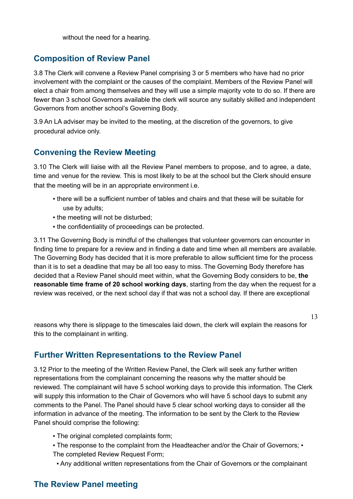without the need for a hearing.

### **Composition of Review Panel**

3.8 The Clerk will convene a Review Panel comprising 3 or 5 members who have had no prior involvement with the complaint or the causes of the complaint. Members of the Review Panel will elect a chair from among themselves and they will use a simple majority vote to do so. If there are fewer than 3 school Governors available the clerk will source any suitably skilled and independent Governors from another school's Governing Body.

3.9 An LA adviser may be invited to the meeting, at the discretion of the governors, to give procedural advice only.

### **Convening the Review Meeting**

3.10 The Clerk will liaise with all the Review Panel members to propose, and to agree, a date, time and venue for the review. This is most likely to be at the school but the Clerk should ensure that the meeting will be in an appropriate environment i.e.

- there will be a sufficient number of tables and chairs and that these will be suitable for use by adults;
- the meeting will not be disturbed:
- . the confidentiality of proceedings can be protected.

3.11 The Governing Body is mindful of the challenges that volunteer governors can encounter in finding time to prepare for a review and in finding a date and time when all members are available. The Governing Body has decided that it is more preferable to allow sufficient time for the process than it is to set a deadline that may be all too easy to miss. The Governing Body therefore has decided that a Review Panel should meet within, what the Governing Body considers to be, **the reasonable time frame of 20 school working days**, starting from the day when the request for a review was received, or the next school day if that was not a school day. If there are exceptional

13

reasons why there is slippage to the timescales laid down, the clerk will explain the reasons for this to the complainant in writing.

### **Further Written Representations to the Review Panel**

3.12 Prior to the meeting of the Written Review Panel, the Clerk will seek any further written representations from the complainant concerning the reasons why the matter should be reviewed. The complainant will have 5 school working days to provide this information. The Clerk will supply this information to the Chair of Governors who will have 5 school days to submit any comments to the Panel. The Panel should have 5 clear school working days to consider all the information in advance of the meeting. The information to be sent by the Clerk to the Review Panel should comprise the following:

- The original completed complaints form;
- The response to the complaint from the Headteacher and/or the Chair of Governors: The completed Review Request Form;
- Any additional written representations from the Chair of Governors or the complainant

## **The Review Panel meeting**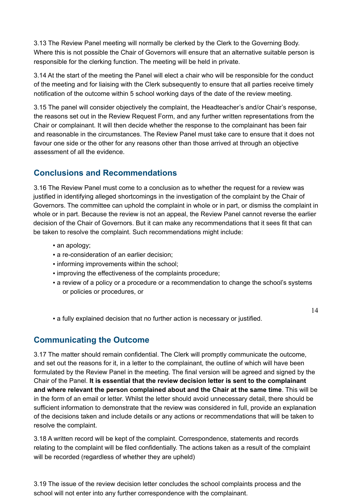3.13 The Review Panel meeting will normally be clerked by the Clerk to the Governing Body. Where this is not possible the Chair of Governors will ensure that an alternative suitable person is responsible for the clerking function. The meeting will be held in private.

3.14 At the start of the meeting the Panel will elect a chair who will be responsible for the conduct of the meeting and for liaising with the Clerk subsequently to ensure that all parties receive timely notification of the outcome within 5 school working days of the date of the review meeting.

3.15 The panel will consider objectively the complaint, the Headteacher's and/or Chair's response, the reasons set out in the Review Request Form, and any further written representations from the Chair or complainant. It will then decide whether the response to the complainant has been fair and reasonable in the circumstances. The Review Panel must take care to ensure that it does not favour one side or the other for any reasons other than those arrived at through an objective assessment of all the evidence.

### **Conclusions and Recommendations**

3.16 The Review Panel must come to a conclusion as to whether the request for a review was justified in identifying alleged shortcomings in the investigation of the complaint by the Chair of Governors. The committee can uphold the complaint in whole or in part, or dismiss the complaint in whole or in part. Because the review is not an appeal, the Review Panel cannot reverse the earlier decision of the Chair of Governors. But it can make any recommendations that it sees fit that can be taken to resolve the complaint. Such recommendations might include:

- an apology;
- a re-consideration of an earlier decision;
- informing improvements within the school;
- improving the effectiveness of the complaints procedure;
- a review of a policy or a procedure or a recommendation to change the school's systems or policies or procedures, or
- a fully explained decision that no further action is necessary or justified.

#### 14

### **Communicating the Outcome**

3.17 The matter should remain confidential. The Clerk will promptly communicate the outcome, and set out the reasons for it, in a letter to the complainant, the outline of which will have been formulated by the Review Panel in the meeting. The final version will be agreed and signed by the Chair of the Panel. **It is essential that the review decision letter is sent to the complainant and where relevant the person complained about and the Chair at the same time**. This will be in the form of an email or letter. Whilst the letter should avoid unnecessary detail, there should be sufficient information to demonstrate that the review was considered in full, provide an explanation of the decisions taken and include details or any actions or recommendations that will be taken to resolve the complaint.

3.18 A written record will be kept of the complaint. Correspondence, statements and records relating to the complaint will be filed confidentially. The actions taken as a result of the complaint will be recorded (regardless of whether they are upheld)

3.19 The issue of the review decision letter concludes the school complaints process and the school will not enter into any further correspondence with the complainant.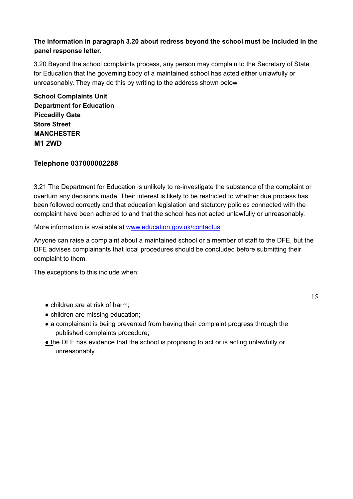#### **The information in paragraph 3.20 about redress beyond the school must be included in the panel response letter.**

3.20 Beyond the school complaints process, any person may complain to the Secretary of State for Education that the governing body of a maintained school has acted either unlawfully or unreasonably. They may do this by writing to the address shown below.

**School Complaints Unit Department for Education Piccadilly Gate Store Street MANCHESTER M1 2WD**

#### **Telephone 037000002288**

3.21 The Department for Education is unlikely to re-investigate the substance of the complaint or overturn any decisions made. Their interest is likely to be restricted to whether due process has been followed correctly and that education legislation and statutory policies connected with the complaint have been adhered to and that the school has not acted unlawfully or unreasonably.

More information is available at www.education.gov.uk/contactus

Anyone can raise a complaint about a maintained school or a member of staff to the DFE, but the DFE advises complainants that local procedures should be concluded before submitting their complaint to them.

The exceptions to this include when:

- children are at risk of harm;
- children are missing education:
- a complainant is being prevented from having their complaint progress through the published complaints procedure;
- the DFE has evidence that the school is proposing to act or is acting unlawfully or unreasonably.

15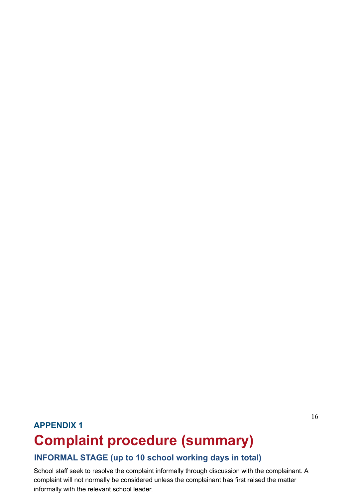## **APPENDIX 1 Complaint procedure (summary)**

## **INFORMAL STAGE (up to 10 school working days in total)**

School staff seek to resolve the complaint informally through discussion with the complainant. A complaint will not normally be considered unless the complainant has first raised the matter informally with the relevant school leader.

16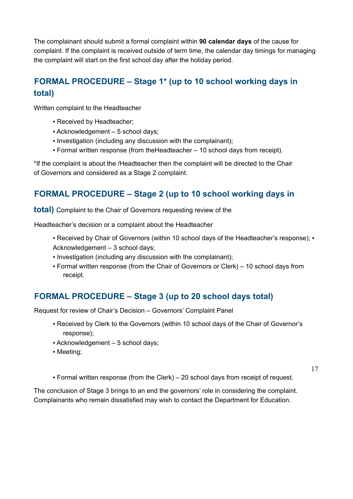The complainant should submit a formal complaint within **90 calendar days** of the cause for complaint. If the complaint is received outside of term time, the calendar day timings for managing the complaint will start on the first school day after the holiday period.

## **FORMAL PROCEDURE – Stage 1\* (up to 10 school working days in total)**

Written complaint to the Headteacher

- Received by Headteacher;
- Acknowledgement 5 school days;
- Investigation (including any discussion with the complainant);
- Formal written response (from theHeadteacher 10 school days from receipt).

\*If the complaint is about the /Headteacher then the complaint will be directed to the Chair of Governors and considered as a Stage 2 complaint.

## **FORMAL PROCEDURE – Stage 2 (up to 10 school working days in**

**total)** Complaint to the Chair of Governors requesting review of the

Headteacher's decision or a complaint about the Headteacher

- Received by Chair of Governors (within 10 school days of the Headteacher's response); Acknowledgement – 3 school days;
- Investigation (including any discussion with the complainant);
- Formal written response (from the Chair of Governors or Clerk) 10 school days from receipt.

## **FORMAL PROCEDURE – Stage 3 (up to 20 school days total)**

Request for review of Chair's Decision – Governors' Complaint Panel

- Received by Clerk to the Governors (within 10 school days of the Chair of Governor's response);
- Acknowledgement 5 school days;
- Meeting;
- Formal written response (from the Clerk) 20 school days from receipt of request.

17

The conclusion of Stage 3 brings to an end the governors' role in considering the complaint. Complainants who remain dissatisfied may wish to contact the Department for Education.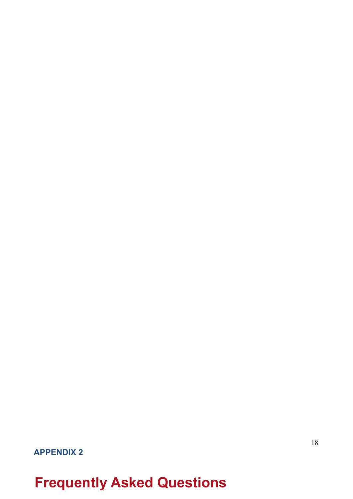## **Frequently Asked Questions**

**APPENDIX 2**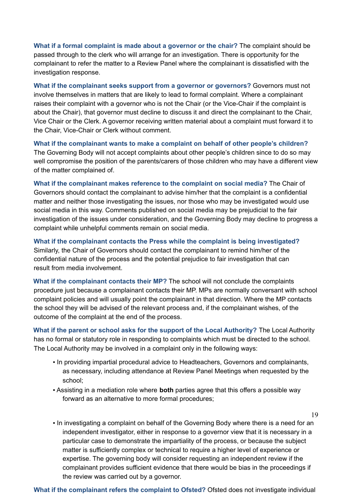**What if a formal complaint is made about a governor or the chair?** The complaint should be passed through to the clerk who will arrange for an investigation. There is opportunity for the complainant to refer the matter to a Review Panel where the complainant is dissatisfied with the investigation response.

**What if the complainant seeks support from a governor or governors?** Governors must not involve themselves in matters that are likely to lead to formal complaint. Where a complainant raises their complaint with a governor who is not the Chair (or the Vice-Chair if the complaint is about the Chair), that governor must decline to discuss it and direct the complainant to the Chair, Vice Chair or the Clerk. A governor receiving written material about a complaint must forward it to the Chair, Vice-Chair or Clerk without comment.

**What if the complainant wants to make a complaint on behalf of other people's children?** The Governing Body will not accept complaints about other people's children since to do so may well compromise the position of the parents/carers of those children who may have a different view of the matter complained of.

**What if the complainant makes reference to the complaint on social media?** The Chair of Governors should contact the complainant to advise him/her that the complaint is a confidential matter and neither those investigating the issues, nor those who may be investigated would use social media in this way. Comments published on social media may be prejudicial to the fair investigation of the issues under consideration, and the Governing Body may decline to progress a complaint while unhelpful comments remain on social media.

**What if the complainant contacts the Press while the complaint is being investigated?** Similarly, the Chair of Governors should contact the complainant to remind him/her of the confidential nature of the process and the potential prejudice to fair investigation that can result from media involvement.

**What if the complainant contacts their MP?** The school will not conclude the complaints procedure just because a complainant contacts their MP. MPs are normally conversant with school complaint policies and will usually point the complainant in that direction. Where the MP contacts the school they will be advised of the relevant process and, if the complainant wishes, of the outcome of the complaint at the end of the process.

**What if the parent or school asks for the support of the Local Authority?** The Local Authority has no formal or statutory role in responding to complaints which must be directed to the school. The Local Authority may be involved in a complaint only in the following ways:

- In providing impartial procedural advice to Headteachers, Governors and complainants, as necessary, including attendance at Review Panel Meetings when requested by the school;
- Assisting in a mediation role where **both** parties agree that this offers a possible way forward as an alternative to more formal procedures;

19

▪ In investigating a complaint on behalf of the Governing Body where there is a need for an independent investigator, either in response to a governor view that it is necessary in a particular case to demonstrate the impartiality of the process, or because the subject matter is sufficiently complex or technical to require a higher level of experience or expertise. The governing body will consider requesting an independent review if the complainant provides sufficient evidence that there would be bias in the proceedings if the review was carried out by a governor.

**What if the complainant refers the complaint to Ofsted?** Ofsted does not investigate individual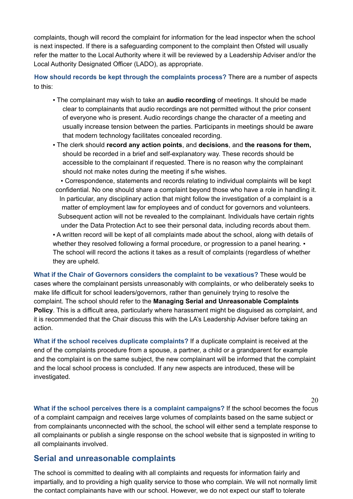complaints, though will record the complaint for information for the lead inspector when the school is next inspected. If there is a safeguarding component to the complaint then Ofsted will usually refer the matter to the Local Authority where it will be reviewed by a Leadership Adviser and/or the Local Authority Designated Officer (LADO), as appropriate.

**How should records be kept through the complaints process?** There are a number of aspects to this:

- The complainant may wish to take an **audio recording** of meetings. It should be made clear to complainants that audio recordings are not permitted without the prior consent of everyone who is present. Audio recordings change the character of a meeting and usually increase tension between the parties. Participants in meetings should be aware that modern technology facilitates concealed recording.
- The clerk should **record any action points**, and **decisions**, and **the reasons for them,** should be recorded in a brief and self-explanatory way. These records should be accessible to the complainant if requested. There is no reason why the complainant should not make notes during the meeting if s/he wishes.
- Correspondence, statements and records relating to individual complaints will be kept confidential. No one should share a complaint beyond those who have a role in handling it. In particular, any disciplinary action that might follow the investigation of a complaint is a matter of employment law for employees and of conduct for governors and volunteers. Subsequent action will not be revealed to the complainant. Individuals have certain rights under the Data Protection Act to see their personal data, including records about them. ▪ A written record will be kept of all complaints made about the school, along with details of whether they resolved following a formal procedure, or progression to a panel hearing.  $\cdot$ The school will record the actions it takes as a result of complaints (regardless of whether they are upheld.

**What if the Chair of Governors considers the complaint to be vexatious?** These would be cases where the complainant persists unreasonably with complaints, or who deliberately seeks to make life difficult for school leaders/governors, rather than genuinely trying to resolve the complaint. The school should refer to the **Managing Serial and Unreasonable Complaints Policy**. This is a difficult area, particularly where harassment might be disguised as complaint, and it is recommended that the Chair discuss this with the LA's Leadership Adviser before taking an action.

**What if the school receives duplicate complaints?** If a duplicate complaint is received at the end of the complaints procedure from a spouse, a partner, a child or a grandparent for example and the complaint is on the same subject, the new complainant will be informed that the complaint and the local school process is concluded. If any new aspects are introduced, these will be investigated.

**What if the school perceives there is a complaint campaigns?** If the school becomes the focus of a complaint campaign and receives large volumes of complaints based on the same subject or from complainants unconnected with the school, the school will either send a template response to all complainants or publish a single response on the school website that is signposted in writing to all complainants involved.

20

### **Serial and unreasonable complaints**

The school is committed to dealing with all complaints and requests for information fairly and impartially, and to providing a high quality service to those who complain. We will not normally limit the contact complainants have with our school. However, we do not expect our staff to tolerate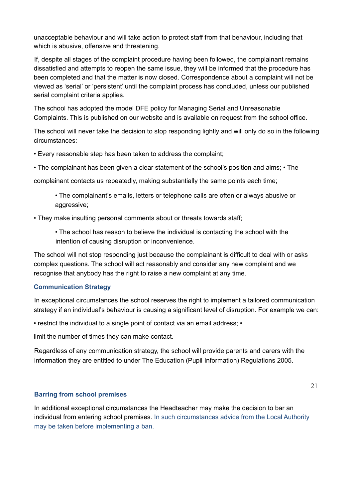unacceptable behaviour and will take action to protect staff from that behaviour, including that which is abusive, offensive and threatening.

If, despite all stages of the complaint procedure having been followed, the complainant remains dissatisfied and attempts to reopen the same issue, they will be informed that the procedure has been completed and that the matter is now closed. Correspondence about a complaint will not be viewed as 'serial' or 'persistent' until the complaint process has concluded, unless our published serial complaint criteria applies.

The school has adopted the model DFE policy for Managing Serial and Unreasonable Complaints. This is published on our website and is available on request from the school office.

The school will never take the decision to stop responding lightly and will only do so in the following circumstances:

• Every reasonable step has been taken to address the complaint;

• The complainant has been given a clear statement of the school's position and aims; • The

complainant contacts us repeatedly, making substantially the same points each time;

• The complainant's emails, letters or telephone calls are often or always abusive or aggressive:

• They make insulting personal comments about or threats towards staff;

• The school has reason to believe the individual is contacting the school with the intention of causing disruption or inconvenience.

The school will not stop responding just because the complainant is difficult to deal with or asks complex questions. The school will act reasonably and consider any new complaint and we recognise that anybody has the right to raise a new complaint at any time.

#### **Communication Strategy**

In exceptional circumstances the school reserves the right to implement a tailored communication strategy if an individual's behaviour is causing a significant level of disruption. For example we can:

• restrict the individual to a single point of contact via an email address; •

limit the number of times they can make contact.

Regardless of any communication strategy, the school will provide parents and carers with the information they are entitled to under The Education (Pupil Information) Regulations 2005.

#### **Barring from school premises**

In additional exceptional circumstances the Headteacher may make the decision to bar an individual from entering school premises. In such circumstances advice from the Local Authority may be taken before implementing a ban.

21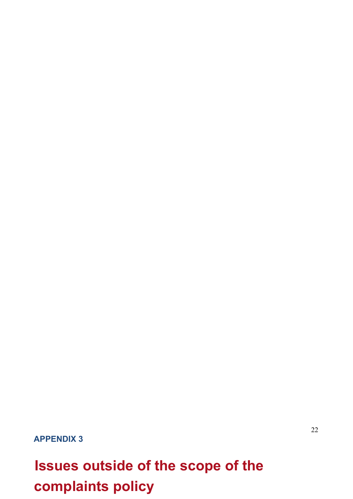**APPENDIX 3**

# **Issues outside of the scope of the complaints policy**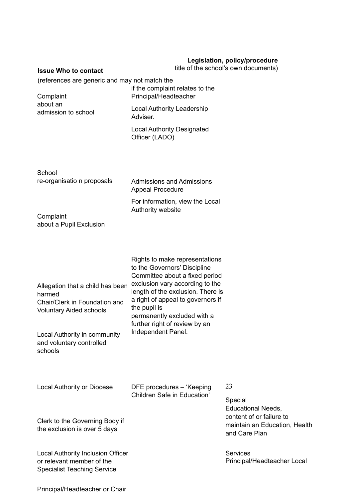#### **Legislation, policy/procedure**

**Issue Who to contact**

#### title of the school's own documents)

(references are generic and may not match the

| Complaint           |
|---------------------|
| about an            |
| admission to school |

if the complaint relates to the Principal/Headteacher Local Authority Leadership Adviser.

Local Authority Designated Officer (LADO)

**School** re-organisatio n proposals

Admissions and Admissions Appeal Procedure

For information, view the Local Authority website

**Complaint** about a Pupil Exclusion

|                                                                                                               | Rights to make representations                                                                                                                                                             |
|---------------------------------------------------------------------------------------------------------------|--------------------------------------------------------------------------------------------------------------------------------------------------------------------------------------------|
|                                                                                                               | to the Governors' Discipline                                                                                                                                                               |
| Allegation that a child has been<br>harmed<br>Chair/Clerk in Foundation and<br><b>Voluntary Aided schools</b> | Committee about a fixed period<br>exclusion vary according to the<br>length of the exclusion. There is<br>a right of appeal to governors if<br>the pupil is<br>permanently excluded with a |
| Local Authority in community                                                                                  | further right of review by an<br>Independent Panel.                                                                                                                                        |
| and voluntary controlled<br>schools                                                                           |                                                                                                                                                                                            |

| Local Authority or Diocese                                                                                  | 23<br>DFE procedures - 'Keeping<br>Children Safe in Education' |                                                                                                                    |  |  |
|-------------------------------------------------------------------------------------------------------------|----------------------------------------------------------------|--------------------------------------------------------------------------------------------------------------------|--|--|
| Clerk to the Governing Body if<br>the exclusion is over 5 days                                              |                                                                | Special<br><b>Educational Needs,</b><br>content of or failure to<br>maintain an Education, Health<br>and Care Plan |  |  |
| <b>Local Authority Inclusion Officer</b><br>or relevant member of the<br><b>Specialist Teaching Service</b> |                                                                | <b>Services</b><br>Principal/Headteacher Local                                                                     |  |  |

Principal/Headteacher or Chair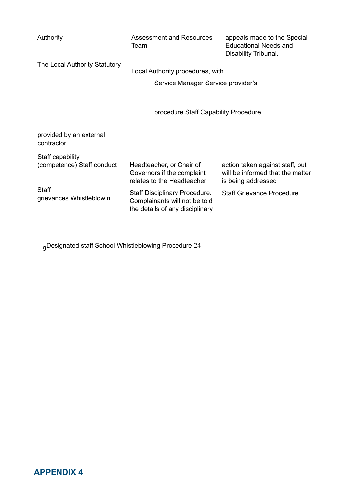| Authority                                      | <b>Assessment and Resources</b><br>Team                                                                  | appeals made to the Special<br><b>Educational Needs and</b><br>Disability Tribunal.       |
|------------------------------------------------|----------------------------------------------------------------------------------------------------------|-------------------------------------------------------------------------------------------|
| The Local Authority Statutory                  | Local Authority procedures, with                                                                         |                                                                                           |
|                                                | Service Manager Service provider's                                                                       |                                                                                           |
|                                                | procedure Staff Capability Procedure                                                                     |                                                                                           |
| provided by an external<br>contractor          |                                                                                                          |                                                                                           |
| Staff capability<br>(competence) Staff conduct | Headteacher, or Chair of<br>Governors if the complaint<br>relates to the Headteacher                     | action taken against staff, but<br>will be informed that the matter<br>is being addressed |
| <b>Staff</b><br>grievances Whistleblowin       | <b>Staff Disciplinary Procedure.</b><br>Complainants will not be told<br>the details of any disciplinary | <b>Staff Grievance Procedure</b>                                                          |

gDesignated staff School Whistleblowing Procedure 24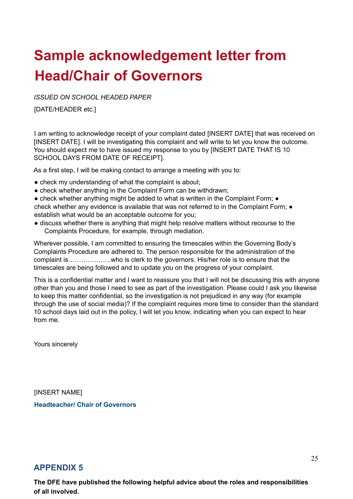## **Sample acknowledgement letter from Head/Chair of Governors**

*ISSUED ON SCHOOL HEADED PAPER*

[DATE/HEADER etc.]

I am writing to acknowledge receipt of your complaint dated [INSERT DATE] that was received on [INSERT DATE]. I will be investigating this complaint and will write to let you know the outcome. You should expect me to have issued my response to you by [INSERT DATE THAT IS 10 SCHOOL DAYS FROM DATE OF RECEIPT].

As a first step, I will be making contact to arrange a meeting with you to:

- check my understanding of what the complaint is about;
- check whether anything in the Complaint Form can be withdrawn;
- check whether anything might be added to what is written in the Complaint Form; check whether any evidence is available that was not referred to in the Complaint Form:  $\bullet$ establish what would be an acceptable outcome for you;
- discuss whether there is anything that might help resolve matters without recourse to the Complaints Procedure, for example, through mediation.

Wherever possible, I am committed to ensuring the timescales within the Governing Body's Complaints Procedure are adhered to. The person responsible for the administration of the complaint is………………..who is clerk to the governors. His/her role is to ensure that the timescales are being followed and to update you on the progress of your complaint.

This is a confidential matter and I want to reassure you that I will not be discussing this with anyone other than you and those I need to see as part of the investigation. Please could I ask you likewise to keep this matter confidential, so the investigation is not prejudiced in any way (for example through the use of social media)? If the complaint requires more time to consider than the standard 10 school days laid out in the policy, I will let you know, indicating when you can expect to hear from me.

Yours sincerely

**IINSERT NAMEI Headteacher/ Chair of Governors**

### **APPENDIX 5**

**The DFE have published the following helpful advice about the roles and responsibilities of all involved.**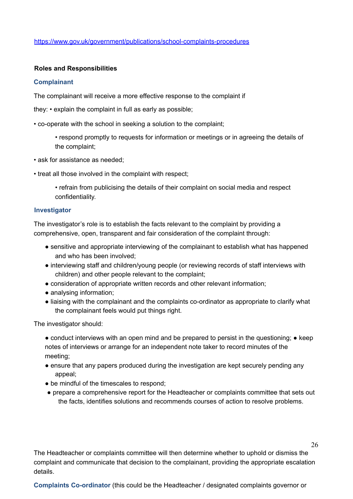https://www.gov.uk/government/publications/school-complaints-procedures

#### **Roles and Responsibilities**

#### **Complainant**

The complainant will receive a more effective response to the complaint if

they: • explain the complaint in full as early as possible;

• co-operate with the school in seeking a solution to the complaint;

- respond promptly to requests for information or meetings or in agreeing the details of the complaint;
- ask for assistance as needed;
- treat all those involved in the complaint with respect;
	- refrain from publicising the details of their complaint on social media and respect confidentiality.

#### **Investigator**

The investigator's role is to establish the facts relevant to the complaint by providing a comprehensive, open, transparent and fair consideration of the complaint through:

- sensitive and appropriate interviewing of the complainant to establish what has happened and who has been involved;
- interviewing staff and children/young people (or reviewing records of staff interviews with children) and other people relevant to the complaint;
- consideration of appropriate written records and other relevant information;
- analysing information;
- liaising with the complainant and the complaints co-ordinator as appropriate to clarify what the complainant feels would put things right.

The investigator should:

• conduct interviews with an open mind and be prepared to persist in the questioning; • keep notes of interviews or arrange for an independent note taker to record minutes of the meeting;

- ensure that any papers produced during the investigation are kept securely pending any appeal;
- be mindful of the timescales to respond:
- prepare a comprehensive report for the Headteacher or complaints committee that sets out the facts, identifies solutions and recommends courses of action to resolve problems.

The Headteacher or complaints committee will then determine whether to uphold or dismiss the complaint and communicate that decision to the complainant, providing the appropriate escalation details.

**Complaints Co-ordinator** (this could be the Headteacher / designated complaints governor or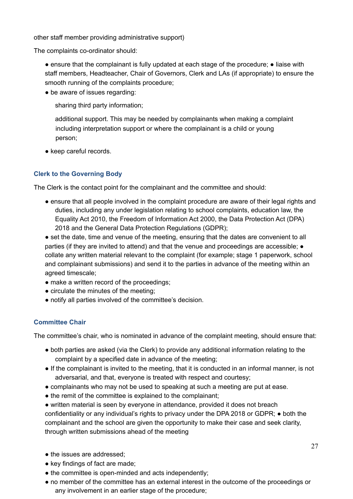other staff member providing administrative support)

The complaints co-ordinator should:

● ensure that the complainant is fully updated at each stage of the procedure; ● liaise with staff members, Headteacher, Chair of Governors, Clerk and LAs (if appropriate) to ensure the smooth running of the complaints procedure;

• be aware of issues regarding:

sharing third party information;

additional support. This may be needed by complainants when making a complaint including interpretation support or where the complainant is a child or young person;

● keep careful records.

#### **Clerk to the Governing Body**

The Clerk is the contact point for the complainant and the committee and should:

- ensure that all people involved in the complaint procedure are aware of their legal rights and duties, including any under legislation relating to school complaints, education law, the Equality Act 2010, the Freedom of Information Act 2000, the Data Protection Act (DPA) 2018 and the General Data Protection Regulations (GDPR);
- set the date, time and venue of the meeting, ensuring that the dates are convenient to all parties (if they are invited to attend) and that the venue and proceedings are accessible; ● collate any written material relevant to the complaint (for example; stage 1 paperwork, school and complainant submissions) and send it to the parties in advance of the meeting within an agreed timescale;
- make a written record of the proceedings;
- circulate the minutes of the meeting;
- notify all parties involved of the committee's decision.

#### **Committee Chair**

The committee's chair, who is nominated in advance of the complaint meeting, should ensure that:

- both parties are asked (via the Clerk) to provide any additional information relating to the complaint by a specified date in advance of the meeting;
- If the complainant is invited to the meeting, that it is conducted in an informal manner, is not adversarial, and that, everyone is treated with respect and courtesy;
- complainants who may not be used to speaking at such a meeting are put at ease.
- the remit of the committee is explained to the complainant;
- written material is seen by everyone in attendance, provided it does not breach confidentiality or any individual's rights to privacy under the DPA 2018 or GDPR; ● both the complainant and the school are given the opportunity to make their case and seek clarity, through written submissions ahead of the meeting
- the issues are addressed:
- key findings of fact are made;
- the committee is open-minded and acts independently;
- no member of the committee has an external interest in the outcome of the proceedings or any involvement in an earlier stage of the procedure;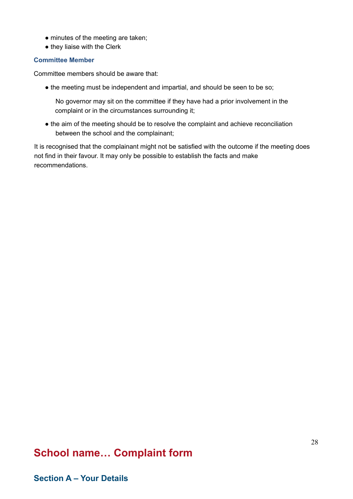- minutes of the meeting are taken;
- they liaise with the Clerk

#### **Committee Member**

Committee members should be aware that:

• the meeting must be independent and impartial, and should be seen to be so;

No governor may sit on the committee if they have had a prior involvement in the complaint or in the circumstances surrounding it;

• the aim of the meeting should be to resolve the complaint and achieve reconciliation between the school and the complainant;

It is recognised that the complainant might not be satisfied with the outcome if the meeting does not find in their favour. It may only be possible to establish the facts and make recommendations.

## **School name… Complaint form**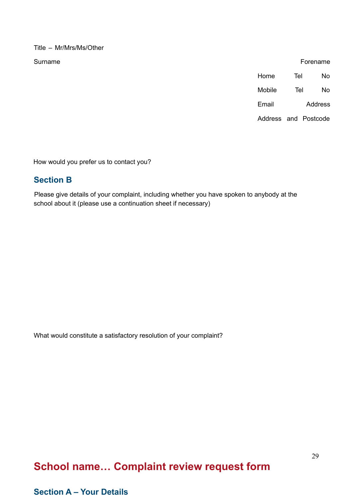Title – Mr/Mrs/Ms/Other

Surname Forename

| Home                 | Tel | N٥      |
|----------------------|-----|---------|
| Mobile               | Tel | N٥      |
| Email                |     | Address |
| Address and Postcode |     |         |

How would you prefer us to contact you?

## **Section B**

Please give details of your complaint, including whether you have spoken to anybody at the school about it (please use a continuation sheet if necessary)

What would constitute a satisfactory resolution of your complaint?

## **School name… Complaint review request form**

## **Section A – Your Details**